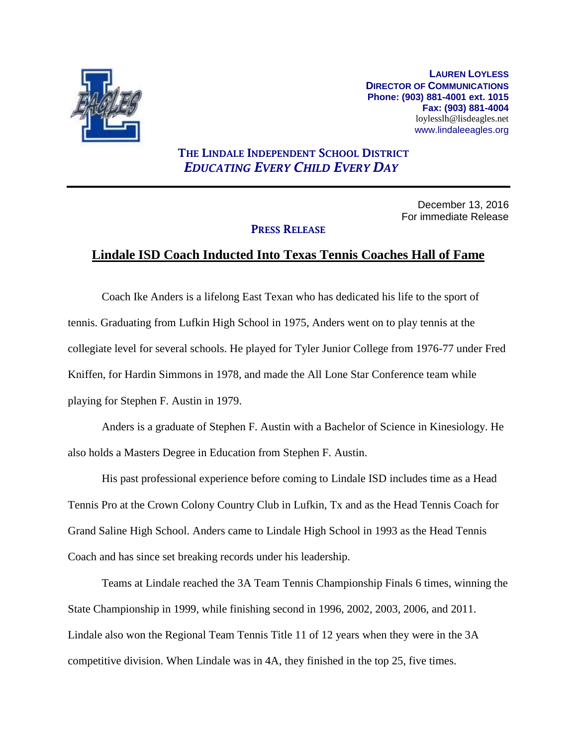

**LAUREN LOYLESS DIRECTOR OF COMMUNICATIONS Phone: (903) 881-4001 ext. 1015 Fax: (903) 881-4004** loylesslh@lisdeagles.net www.lindaleeagles.org

## **THE LINDALE INDEPENDENT SCHOOL DISTRICT** *EDUCATING EVERY CHILD EVERY DAY*

December 13, 2016 For immediate Release

## **PRESS RELEASE**

## **Lindale ISD Coach Inducted Into Texas Tennis Coaches Hall of Fame**

Coach Ike Anders is a lifelong East Texan who has dedicated his life to the sport of tennis. Graduating from Lufkin High School in 1975, Anders went on to play tennis at the collegiate level for several schools. He played for Tyler Junior College from 1976-77 under Fred Kniffen, for Hardin Simmons in 1978, and made the All Lone Star Conference team while playing for Stephen F. Austin in 1979.

Anders is a graduate of Stephen F. Austin with a Bachelor of Science in Kinesiology. He also holds a Masters Degree in Education from Stephen F. Austin.

His past professional experience before coming to Lindale ISD includes time as a Head Tennis Pro at the Crown Colony Country Club in Lufkin, Tx and as the Head Tennis Coach for Grand Saline High School. Anders came to Lindale High School in 1993 as the Head Tennis Coach and has since set breaking records under his leadership.

Teams at Lindale reached the 3A Team Tennis Championship Finals 6 times, winning the State Championship in 1999, while finishing second in 1996, 2002, 2003, 2006, and 2011. Lindale also won the Regional Team Tennis Title 11 of 12 years when they were in the 3A competitive division. When Lindale was in 4A, they finished in the top 25, five times.